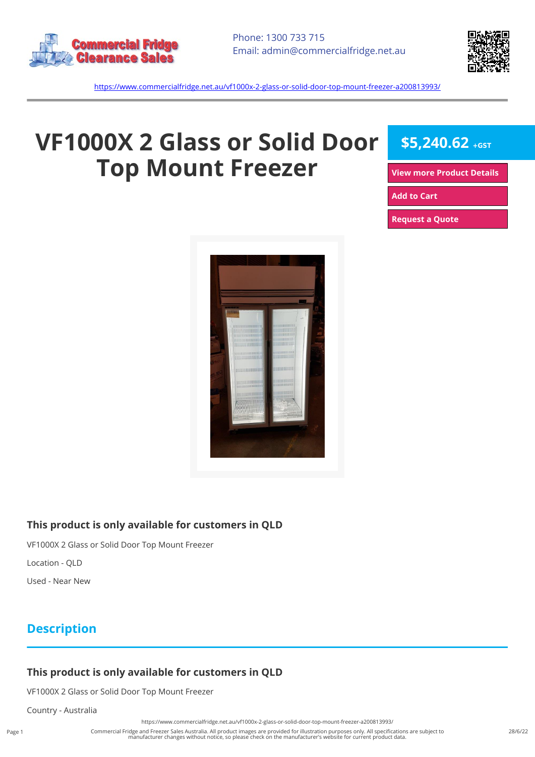



<https://www.commercialfridge.net.au/vf1000x-2-glass-or-solid-door-top-mount-freezer-a200813993/>

# **VF1000X 2 Glass or Solid Door Top Mount Freezer**

**\$5,240.62 +GST**

**[View more Product Details](https://www.commercialfridge.net.au/vf1000x-2-glass-or-solid-door-top-mount-freezer-a200813993/)**

**[Add to Cart](https://www.commercialfridge.net.au/vf1000x-2-glass-or-solid-door-top-mount-freezer-a200813993/?addtocart=1)** 

**[Request a Quote](https://www.commercialfridge.net.au/vf1000x-2-glass-or-solid-door-top-mount-freezer-a200813993/?requestaquote=1)** 



#### **This product is only available for customers in QLD**

VF1000X 2 Glass or Solid Door Top Mount Freezer

Location - QLD

Used - Near New

### **Description**

#### **This product is only available for customers in QLD**

VF1000X 2 Glass or Solid Door Top Mount Freezer

Country - Australia

<https://www.commercialfridge.net.au/vf1000x-2-glass-or-solid-door-top-mount-freezer-a200813993/>

Commercial Fridge and Freezer Sales Australia. All product images are provided for illustration purposes only. All specifications are subject to manufacturer changes without notice, so please check on the manufacturer's website for current product data.